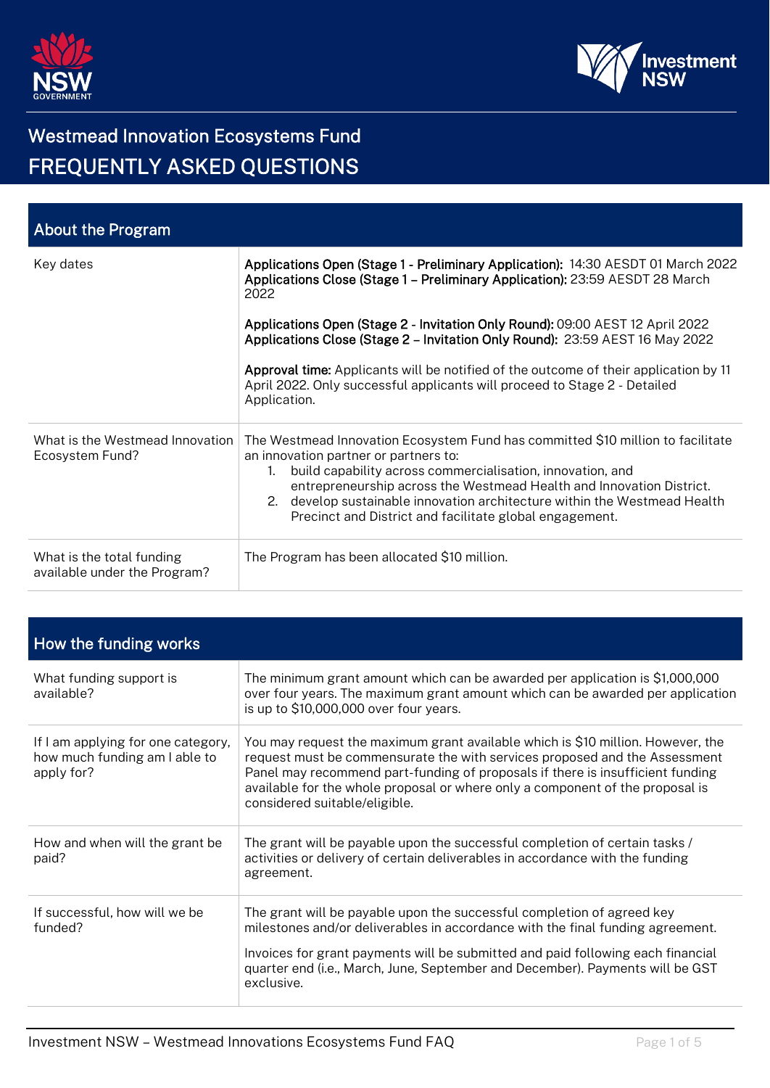



| <b>About the Program</b>                                  |                                                                                                                                                                                                                                                                                                                                                                                                                       |
|-----------------------------------------------------------|-----------------------------------------------------------------------------------------------------------------------------------------------------------------------------------------------------------------------------------------------------------------------------------------------------------------------------------------------------------------------------------------------------------------------|
| Key dates                                                 | Applications Open (Stage 1 - Preliminary Application): 14:30 AESDT 01 March 2022<br>Applications Close (Stage 1 - Preliminary Application): 23:59 AESDT 28 March<br>2022                                                                                                                                                                                                                                              |
|                                                           | Applications Open (Stage 2 - Invitation Only Round): 09:00 AEST 12 April 2022<br>Applications Close (Stage 2 - Invitation Only Round): 23:59 AEST 16 May 2022                                                                                                                                                                                                                                                         |
|                                                           | <b>Approval time:</b> Applicants will be notified of the outcome of their application by 11<br>April 2022. Only successful applicants will proceed to Stage 2 - Detailed<br>Application.                                                                                                                                                                                                                              |
| What is the Westmead Innovation<br>Ecosystem Fund?        | The Westmead Innovation Ecosystem Fund has committed \$10 million to facilitate<br>an innovation partner or partners to:<br>build capability across commercialisation, innovation, and<br>$1_{\cdot}$<br>entrepreneurship across the Westmead Health and Innovation District.<br>2. develop sustainable innovation architecture within the Westmead Health<br>Precinct and District and facilitate global engagement. |
| What is the total funding<br>available under the Program? | The Program has been allocated \$10 million.                                                                                                                                                                                                                                                                                                                                                                          |

| How the funding works                                                             |                                                                                                                                                                                                                                                                                                                                                                   |
|-----------------------------------------------------------------------------------|-------------------------------------------------------------------------------------------------------------------------------------------------------------------------------------------------------------------------------------------------------------------------------------------------------------------------------------------------------------------|
| What funding support is<br>available?                                             | The minimum grant amount which can be awarded per application is \$1,000,000<br>over four years. The maximum grant amount which can be awarded per application<br>is up to \$10,000,000 over four years.                                                                                                                                                          |
| If I am applying for one category,<br>how much funding am I able to<br>apply for? | You may request the maximum grant available which is \$10 million. However, the<br>request must be commensurate the with services proposed and the Assessment<br>Panel may recommend part-funding of proposals if there is insufficient funding<br>available for the whole proposal or where only a component of the proposal is<br>considered suitable/eligible. |
| How and when will the grant be<br>paid?                                           | The grant will be payable upon the successful completion of certain tasks /<br>activities or delivery of certain deliverables in accordance with the funding<br>agreement.                                                                                                                                                                                        |
| If successful, how will we be<br>funded?                                          | The grant will be payable upon the successful completion of agreed key<br>milestones and/or deliverables in accordance with the final funding agreement.<br>Invoices for grant payments will be submitted and paid following each financial<br>quarter end (i.e., March, June, September and December). Payments will be GST<br>exclusive.                        |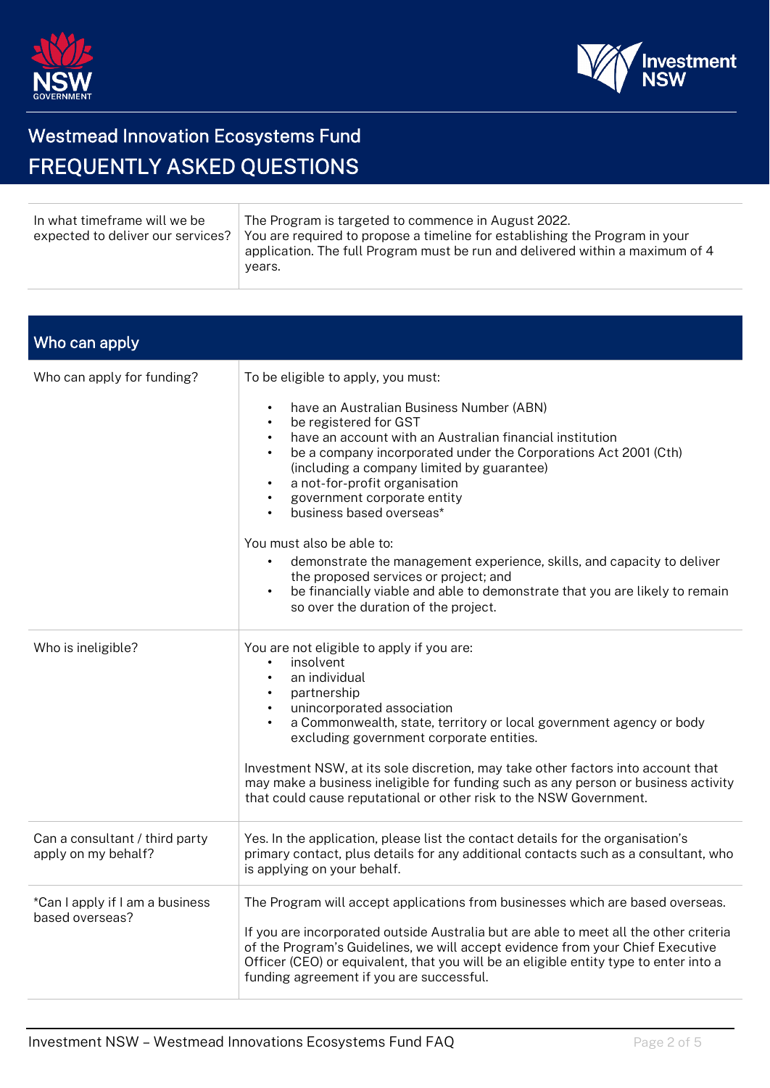



| In what timeframe will we be<br>expected to deliver our services? | The Program is targeted to commence in August 2022.<br>You are required to propose a timeline for establishing the Program in your<br>application. The full Program must be run and delivered within a maximum of 4<br>years. |
|-------------------------------------------------------------------|-------------------------------------------------------------------------------------------------------------------------------------------------------------------------------------------------------------------------------|
|-------------------------------------------------------------------|-------------------------------------------------------------------------------------------------------------------------------------------------------------------------------------------------------------------------------|

| Who can apply                                         |                                                                                                                                                                                                                                                                                                                                                                                                                          |
|-------------------------------------------------------|--------------------------------------------------------------------------------------------------------------------------------------------------------------------------------------------------------------------------------------------------------------------------------------------------------------------------------------------------------------------------------------------------------------------------|
| Who can apply for funding?                            | To be eligible to apply, you must:                                                                                                                                                                                                                                                                                                                                                                                       |
|                                                       | have an Australian Business Number (ABN)<br>$\bullet$<br>be registered for GST<br>$\bullet$<br>have an account with an Australian financial institution<br>$\bullet$<br>be a company incorporated under the Corporations Act 2001 (Cth)<br>$\bullet$<br>(including a company limited by guarantee)<br>a not-for-profit organisation<br>government corporate entity<br>$\bullet$<br>business based overseas*<br>$\bullet$ |
|                                                       | You must also be able to:<br>demonstrate the management experience, skills, and capacity to deliver<br>$\bullet$<br>the proposed services or project; and<br>be financially viable and able to demonstrate that you are likely to remain<br>$\bullet$<br>so over the duration of the project.                                                                                                                            |
| Who is ineligible?                                    | You are not eligible to apply if you are:<br>insolvent<br>$\bullet$<br>an individual<br>$\bullet$<br>partnership<br>$\bullet$<br>unincorporated association<br>$\bullet$<br>a Commonwealth, state, territory or local government agency or body<br>$\bullet$<br>excluding government corporate entities.                                                                                                                 |
|                                                       | Investment NSW, at its sole discretion, may take other factors into account that<br>may make a business ineligible for funding such as any person or business activity<br>that could cause reputational or other risk to the NSW Government.                                                                                                                                                                             |
| Can a consultant / third party<br>apply on my behalf? | Yes. In the application, please list the contact details for the organisation's<br>primary contact, plus details for any additional contacts such as a consultant, who<br>is applying on your behalf.                                                                                                                                                                                                                    |
| *Can I apply if I am a business<br>based overseas?    | The Program will accept applications from businesses which are based overseas.<br>If you are incorporated outside Australia but are able to meet all the other criteria<br>of the Program's Guidelines, we will accept evidence from your Chief Executive<br>Officer (CEO) or equivalent, that you will be an eligible entity type to enter into a<br>funding agreement if you are successful.                           |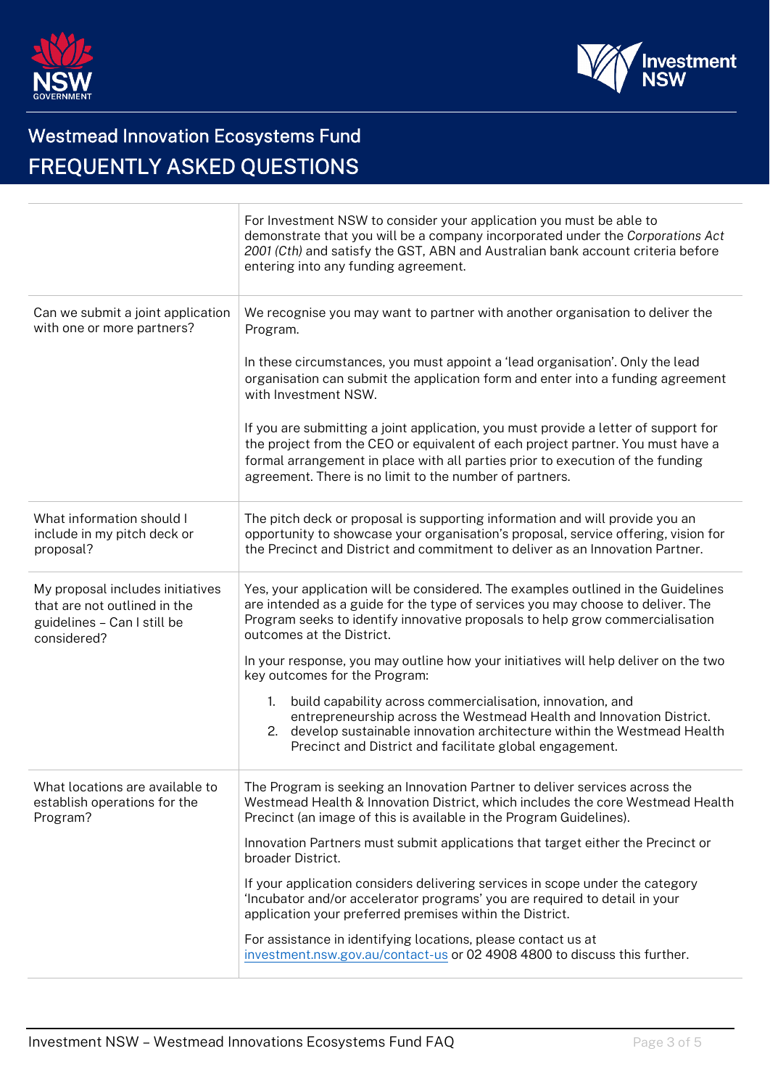



|                                                                                                                | For Investment NSW to consider your application you must be able to<br>demonstrate that you will be a company incorporated under the Corporations Act<br>2001 (Cth) and satisfy the GST, ABN and Australian bank account criteria before<br>entering into any funding agreement.                                    |
|----------------------------------------------------------------------------------------------------------------|---------------------------------------------------------------------------------------------------------------------------------------------------------------------------------------------------------------------------------------------------------------------------------------------------------------------|
| Can we submit a joint application<br>with one or more partners?                                                | We recognise you may want to partner with another organisation to deliver the<br>Program.                                                                                                                                                                                                                           |
|                                                                                                                | In these circumstances, you must appoint a 'lead organisation'. Only the lead<br>organisation can submit the application form and enter into a funding agreement<br>with Investment NSW.                                                                                                                            |
|                                                                                                                | If you are submitting a joint application, you must provide a letter of support for<br>the project from the CEO or equivalent of each project partner. You must have a<br>formal arrangement in place with all parties prior to execution of the funding<br>agreement. There is no limit to the number of partners. |
| What information should I<br>include in my pitch deck or<br>proposal?                                          | The pitch deck or proposal is supporting information and will provide you an<br>opportunity to showcase your organisation's proposal, service offering, vision for<br>the Precinct and District and commitment to deliver as an Innovation Partner.                                                                 |
| My proposal includes initiatives<br>that are not outlined in the<br>guidelines - Can I still be<br>considered? | Yes, your application will be considered. The examples outlined in the Guidelines<br>are intended as a guide for the type of services you may choose to deliver. The<br>Program seeks to identify innovative proposals to help grow commercialisation<br>outcomes at the District.                                  |
|                                                                                                                | In your response, you may outline how your initiatives will help deliver on the two<br>key outcomes for the Program:                                                                                                                                                                                                |
|                                                                                                                | build capability across commercialisation, innovation, and<br>$1_{\cdot}$<br>entrepreneurship across the Westmead Health and Innovation District.<br>develop sustainable innovation architecture within the Westmead Health<br>2.<br>Precinct and District and facilitate global engagement.                        |
| What locations are available to<br>establish operations for the<br>Program?                                    | The Program is seeking an Innovation Partner to deliver services across the<br>Westmead Health & Innovation District, which includes the core Westmead Health<br>Precinct (an image of this is available in the Program Guidelines).                                                                                |
|                                                                                                                | Innovation Partners must submit applications that target either the Precinct or<br>broader District.                                                                                                                                                                                                                |
|                                                                                                                | If your application considers delivering services in scope under the category<br>'Incubator and/or accelerator programs' you are required to detail in your<br>application your preferred premises within the District.                                                                                             |
|                                                                                                                | For assistance in identifying locations, please contact us at<br>investment.nsw.gov.au/contact-us or 02 4908 4800 to discuss this further.                                                                                                                                                                          |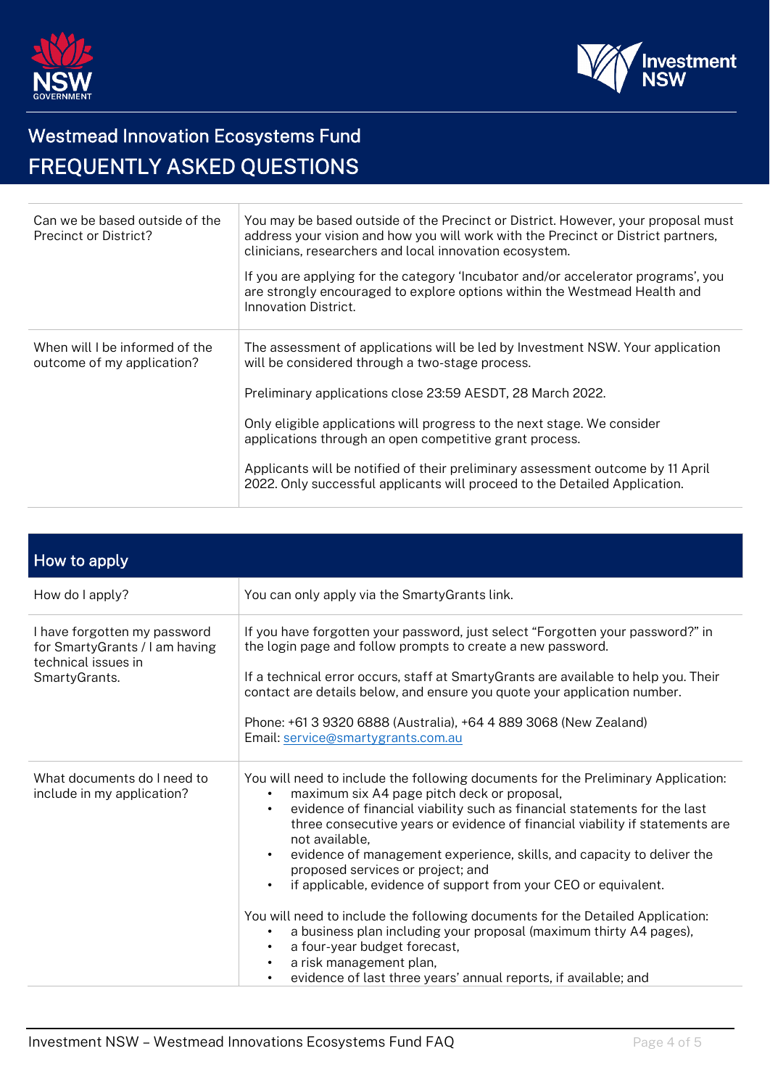



| Can we be based outside of the<br><b>Precinct or District?</b> | You may be based outside of the Precinct or District. However, your proposal must<br>address your vision and how you will work with the Precinct or District partners,<br>clinicians, researchers and local innovation ecosystem.<br>If you are applying for the category 'Incubator and/or accelerator programs', you<br>are strongly encouraged to explore options within the Westmead Health and<br>Innovation District.                                                                            |
|----------------------------------------------------------------|--------------------------------------------------------------------------------------------------------------------------------------------------------------------------------------------------------------------------------------------------------------------------------------------------------------------------------------------------------------------------------------------------------------------------------------------------------------------------------------------------------|
| When will I be informed of the<br>outcome of my application?   | The assessment of applications will be led by Investment NSW. Your application<br>will be considered through a two-stage process.<br>Preliminary applications close 23:59 AESDT, 28 March 2022.<br>Only eligible applications will progress to the next stage. We consider<br>applications through an open competitive grant process.<br>Applicants will be notified of their preliminary assessment outcome by 11 April<br>2022. Only successful applicants will proceed to the Detailed Application. |

| How to apply                                                                                           |                                                                                                                                                                                                                                                                                                                                                                                                                                                                                                                                                                                                                                                                                                                                                                                                                                                                       |
|--------------------------------------------------------------------------------------------------------|-----------------------------------------------------------------------------------------------------------------------------------------------------------------------------------------------------------------------------------------------------------------------------------------------------------------------------------------------------------------------------------------------------------------------------------------------------------------------------------------------------------------------------------------------------------------------------------------------------------------------------------------------------------------------------------------------------------------------------------------------------------------------------------------------------------------------------------------------------------------------|
| How do I apply?                                                                                        | You can only apply via the Smarty Grants link.                                                                                                                                                                                                                                                                                                                                                                                                                                                                                                                                                                                                                                                                                                                                                                                                                        |
| I have forgotten my password<br>for SmartyGrants / I am having<br>technical issues in<br>SmartyGrants. | If you have forgotten your password, just select "Forgotten your password?" in<br>the login page and follow prompts to create a new password.<br>If a technical error occurs, staff at SmartyGrants are available to help you. Their<br>contact are details below, and ensure you quote your application number.<br>Phone: +61 3 9320 6888 (Australia), +64 4 889 3068 (New Zealand)<br>Email: service@smartygrants.com.au                                                                                                                                                                                                                                                                                                                                                                                                                                            |
| What documents do I need to<br>include in my application?                                              | You will need to include the following documents for the Preliminary Application:<br>maximum six A4 page pitch deck or proposal,<br>evidence of financial viability such as financial statements for the last<br>$\bullet$<br>three consecutive years or evidence of financial viability if statements are<br>not available,<br>evidence of management experience, skills, and capacity to deliver the<br>$\bullet$<br>proposed services or project; and<br>if applicable, evidence of support from your CEO or equivalent.<br>You will need to include the following documents for the Detailed Application:<br>a business plan including your proposal (maximum thirty A4 pages),<br>$\bullet$<br>a four-year budget forecast,<br>$\bullet$<br>a risk management plan,<br>$\bullet$<br>evidence of last three years' annual reports, if available; and<br>$\bullet$ |